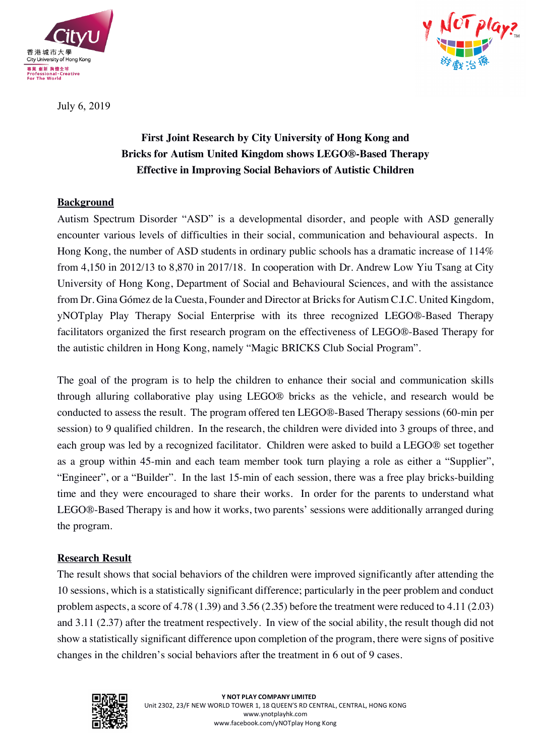



July 6, 2019

# **First Joint Research by City University of Hong Kong and Bricks for Autism United Kingdom shows LEGO®-Based Therapy Effective in Improving Social Behaviors of Autistic Children**

## **Background**

Autism Spectrum Disorder "ASD" is a developmental disorder, and people with ASD generally encounter various levels of difficulties in their social, communication and behavioural aspects. In Hong Kong, the number of ASD students in ordinary public schools has a dramatic increase of 114% from 4,150 in 2012/13 to 8,870 in 2017/18. In cooperation with Dr. Andrew Low Yiu Tsang at City University of Hong Kong, Department of Social and Behavioural Sciences, and with the assistance from Dr. Gina Gómez de la Cuesta, Founder and Director at Bricks for Autism C.I.C. United Kingdom, yNOTplay Play Therapy Social Enterprise with its three recognized LEGO®-Based Therapy facilitators organized the first research program on the effectiveness of LEGO®-Based Therapy for the autistic children in Hong Kong, namely "Magic BRICKS Club Social Program".

The goal of the program is to help the children to enhance their social and communication skills through alluring collaborative play using LEGO® bricks as the vehicle, and research would be conducted to assess the result. The program offered ten LEGO®-Based Therapy sessions (60-min per session) to 9 qualified children. In the research, the children were divided into 3 groups of three, and each group was led by a recognized facilitator. Children were asked to build a LEGO® set together as a group within 45-min and each team member took turn playing a role as either a "Supplier", "Engineer", or a "Builder". In the last 15-min of each session, there was a free play bricks-building time and they were encouraged to share their works. In order for the parents to understand what LEGO®-Based Therapy is and how it works, two parents' sessions were additionally arranged during the program.

### **Research Result**

The result shows that social behaviors of the children were improved significantly after attending the 10 sessions, which is a statistically significant difference; particularly in the peer problem and conduct problem aspects, a score of 4.78 (1.39) and 3.56 (2.35) before the treatment were reduced to 4.11 (2.03) and 3.11 (2.37) after the treatment respectively. In view of the social ability, the result though did not show a statistically significant difference upon completion of the program, there were signs of positive changes in the children's social behaviors after the treatment in 6 out of 9 cases.